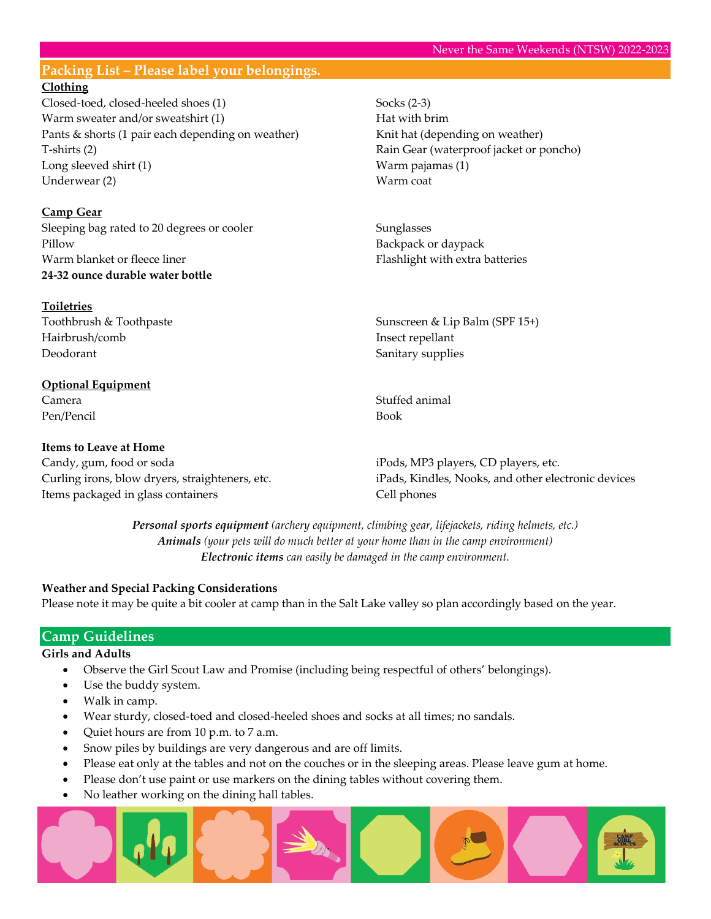# **Packing List – Please label your belongings.**

## **Clothing**

Closed-toed, closed-heeled shoes (1) Warm sweater and/or sweatshirt (1) Pants & shorts (1 pair each depending on weather) T-shirts (2) Long sleeved shirt (1) Underwear (2)

## **Camp Gear**

Sleeping bag rated to 20 degrees or cooler Pillow Warm blanket or fleece liner **24-32 ounce durable water bottle**

# **Toiletries**

Toothbrush & Toothpaste Hairbrush/comb Deodorant

## **Optional Equipment** Camera

Pen/Pencil

### **Items to Leave at Home**

Candy, gum, food or soda Curling irons, blow dryers, straighteners, etc. Items packaged in glass containers

Socks (2-3) Hat with brim Knit hat (depending on weather) Rain Gear (waterproof jacket or poncho) Warm pajamas (1) Warm coat

Sunglasses Backpack or daypack Flashlight with extra batteries

Sunscreen & Lip Balm (SPF 15+) Insect repellant Sanitary supplies

Stuffed animal Book

iPods, MP3 players, CD players, etc. iPads, Kindles, Nooks, and other electronic devices Cell phones

*Personal sports equipment (archery equipment, climbing gear, lifejackets, riding helmets, etc.) Animals (your pets will do much better at your home than in the camp environment) Electronic items can easily be damaged in the camp environment.*

### **Weather and Special Packing Considerations**

Please note it may be quite a bit cooler at camp than in the Salt Lake valley so plan accordingly based on the year.

## **Camp Guidelines**

#### **Girls and Adults**

- Observe the Girl Scout Law and Promise (including being respectful of others' belongings).
- Use the buddy system.
- Walk in camp.
- Wear sturdy, closed-toed and closed-heeled shoes and socks at all times; no sandals.
- Quiet hours are from 10 p.m. to 7 a.m.
- Snow piles by buildings are very dangerous and are off limits.
- Please eat only at the tables and not on the couches or in the sleeping areas. Please leave gum at home.
- Please don't use paint or use markers on the dining tables without covering them.
- No leather working on the dining hall tables.